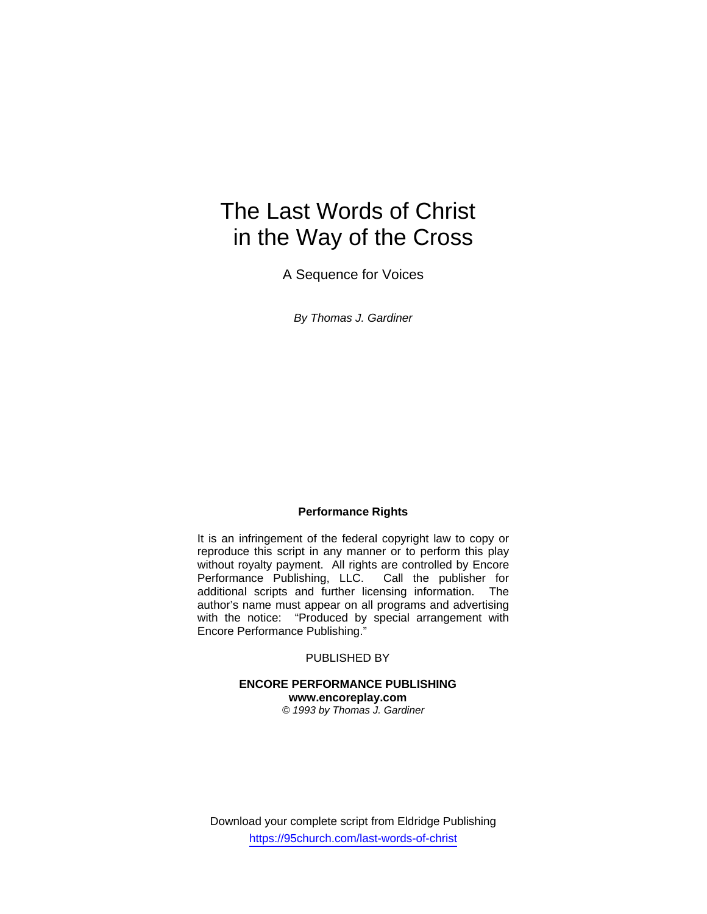# The Last Words of Christ in the Way of the Cross

A Sequence for Voices

*By Thomas J. Gardiner* 

#### **Performance Rights**

It is an infringement of the federal copyright law to copy or reproduce this script in any manner or to perform this play without royalty payment. All rights are controlled by Encore Performance Publishing, LLC. Call the publisher for additional scripts and further licensing information. The author's name must appear on all programs and advertising with the notice: "Produced by special arrangement with Encore Performance Publishing."

#### PUBLISHED BY

#### **ENCORE PERFORMANCE PUBLISHING www.encoreplay.com**  *© 1993 by Thomas J. Gardiner*

Download your complete script from Eldridge Publishing https://95church.com/last-words-of-christ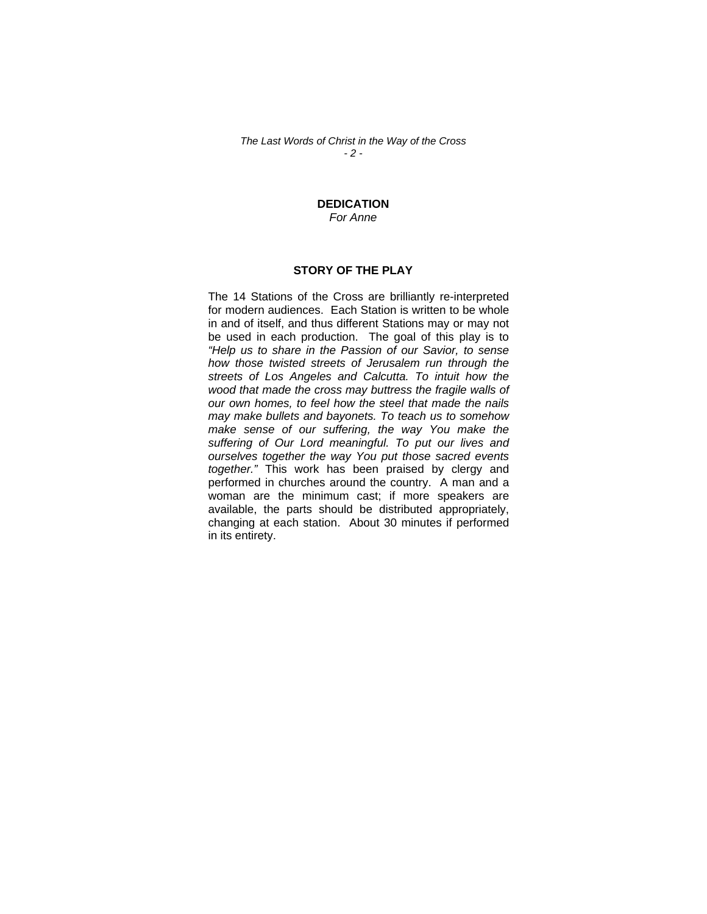*The Last Words of Christ in the Way of the Cross - 2 -* 

#### **DEDICATION** *For Anne*

#### **STORY OF THE PLAY**

The 14 Stations of the Cross are brilliantly re-interpreted for modern audiences. Each Station is written to be whole in and of itself, and thus different Stations may or may not be used in each production. The goal of this play is to *"Help us to share in the Passion of our Savior, to sense how those twisted streets of Jerusalem run through the streets of Los Angeles and Calcutta. To intuit how the wood that made the cross may buttress the fragile walls of our own homes, to feel how the steel that made the nails may make bullets and bayonets. To teach us to somehow make sense of our suffering, the way You make the suffering of Our Lord meaningful. To put our lives and ourselves together the way You put those sacred events together."* This work has been praised by clergy and performed in churches around the country. A man and a woman are the minimum cast; if more speakers are available, the parts should be distributed appropriately, changing at each station. About 30 minutes if performed in its entirety.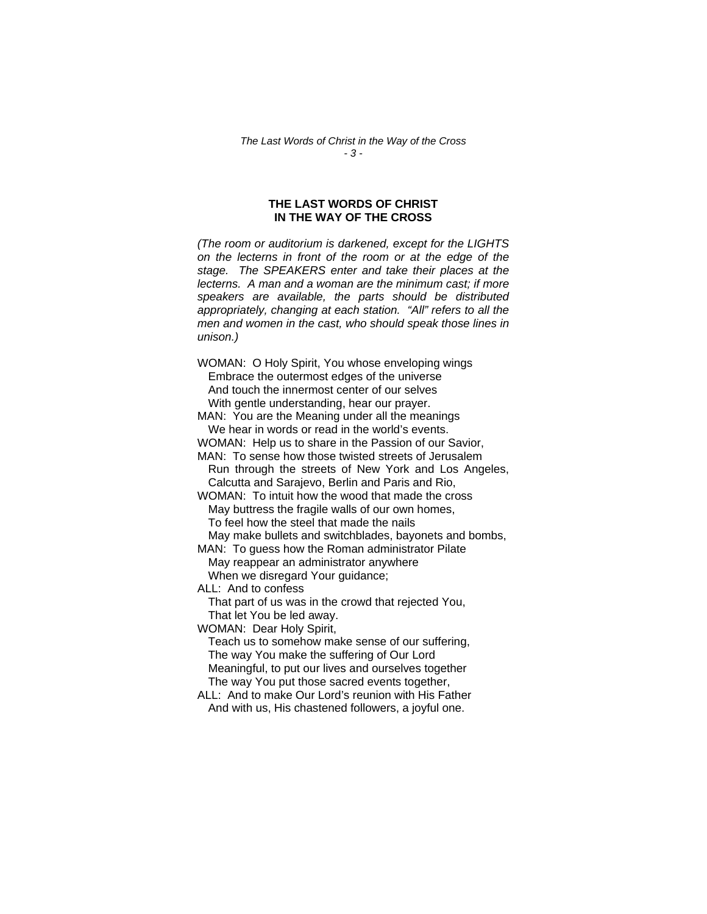#### **THE LAST WORDS OF CHRIST IN THE WAY OF THE CROSS**

*(The room or auditorium is darkened, except for the LIGHTS on the lecterns in front of the room or at the edge of the stage. The SPEAKERS enter and take their places at the lecterns. A man and a woman are the minimum cast; if more speakers are available, the parts should be distributed appropriately, changing at each station. "All" refers to all the men and women in the cast, who should speak those lines in unison.)* 

WOMAN: O Holy Spirit, You whose enveloping wings Embrace the outermost edges of the universe And touch the innermost center of our selves With gentle understanding, hear our prayer.

MAN: You are the Meaning under all the meanings We hear in words or read in the world's events.

WOMAN: Help us to share in the Passion of our Savior,

MAN: To sense how those twisted streets of Jerusalem Run through the streets of New York and Los Angeles, Calcutta and Sarajevo, Berlin and Paris and Rio,

WOMAN: To intuit how the wood that made the cross May buttress the fragile walls of our own homes, To feel how the steel that made the nails

May make bullets and switchblades, bayonets and bombs,

MAN: To guess how the Roman administrator Pilate May reappear an administrator anywhere When we disregard Your guidance;

ALL: And to confess

That part of us was in the crowd that rejected You, That let You be led away.

WOMAN: Dear Holy Spirit,

Teach us to somehow make sense of our suffering, The way You make the suffering of Our Lord Meaningful, to put our lives and ourselves together The way You put those sacred events together,

ALL: And to make Our Lord's reunion with His Father And with us, His chastened followers, a joyful one.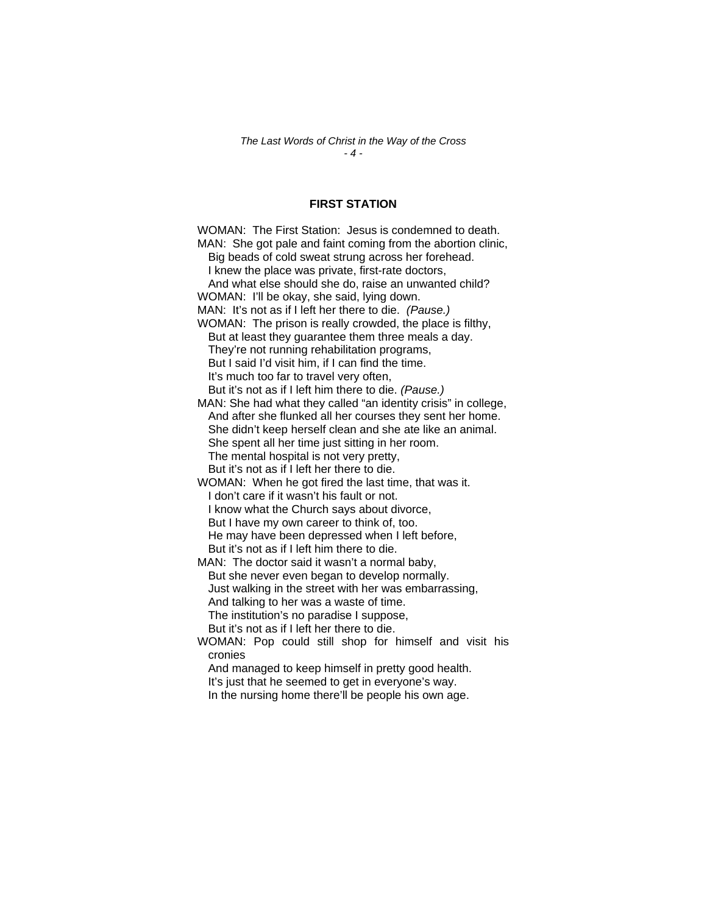### **FIRST STATION**

| WOMAN: The First Station: Jesus is condemned to death.         |
|----------------------------------------------------------------|
| MAN: She got pale and faint coming from the abortion clinic,   |
| Big beads of cold sweat strung across her forehead.            |
| I knew the place was private, first-rate doctors,              |
| And what else should she do, raise an unwanted child?          |
| WOMAN: I'll be okay, she said, lying down.                     |
| MAN: It's not as if I left her there to die. (Pause.)          |
| WOMAN: The prison is really crowded, the place is filthy,      |
| But at least they guarantee them three meals a day.            |
| They're not running rehabilitation programs,                   |
| But I said I'd visit him, if I can find the time.              |
| It's much too far to travel very often,                        |
| But it's not as if I left him there to die. (Pause.)           |
| MAN: She had what they called "an identity crisis" in college, |
| And after she flunked all her courses they sent her home.      |
| She didn't keep herself clean and she ate like an animal.      |
| She spent all her time just sitting in her room.               |
| The mental hospital is not very pretty,                        |
| But it's not as if I left her there to die.                    |
| WOMAN: When he got fired the last time, that was it.           |
| I don't care if it wasn't his fault or not.                    |
| I know what the Church says about divorce,                     |
| But I have my own career to think of, too.                     |
| He may have been depressed when I left before,                 |
| But it's not as if I left him there to die.                    |
| MAN: The doctor said it wasn't a normal baby,                  |
| But she never even began to develop normally.                  |
| Just walking in the street with her was embarrassing,          |
| And talking to her was a waste of time.                        |
| The institution's no paradise I suppose,                       |
| But it's not as if I left her there to die.                    |
| WOMAN: Pop could still shop for himself and visit his          |
| cronies                                                        |
| And managed to keep himself in pretty good health.             |
| It's just that he seemed to get in everyone's way.             |

In the nursing home there'll be people his own age.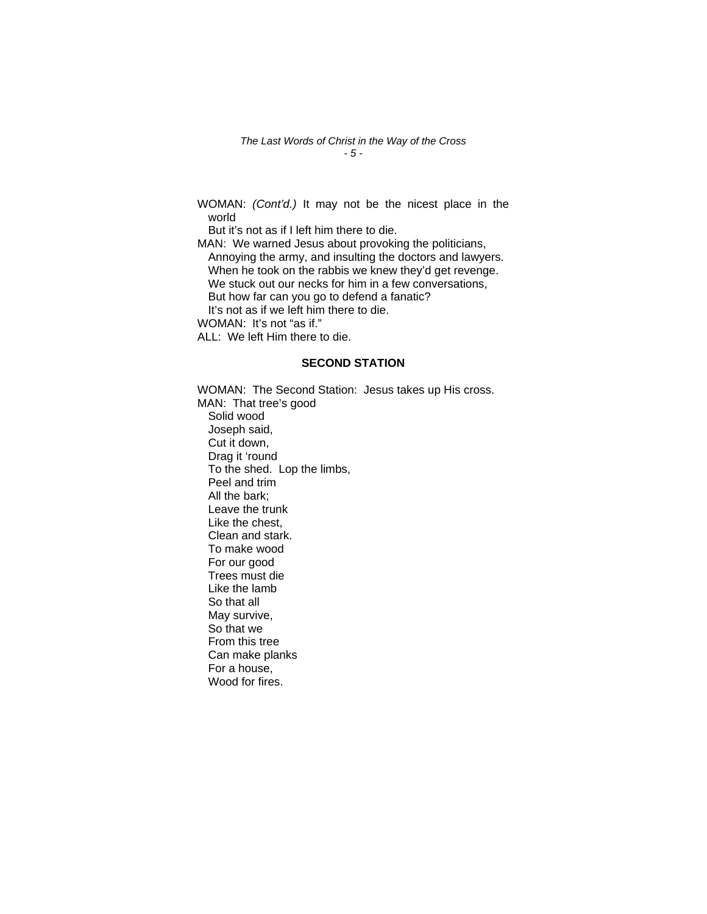*The Last Words of Christ in the Way of the Cross - 5 -* 

WOMAN: *(Cont'd.)* It may not be the nicest place in the world

But it's not as if I left him there to die.

MAN: We warned Jesus about provoking the politicians, Annoying the army, and insulting the doctors and lawyers. When he took on the rabbis we knew they'd get revenge. We stuck out our necks for him in a few conversations, But how far can you go to defend a fanatic? It's not as if we left him there to die.

WOMAN: It's not "as if."

ALL: We left Him there to die.

#### **SECOND STATION**

WOMAN: The Second Station: Jesus takes up His cross. MAN: That tree's good Solid wood Joseph said, Cut it down, Drag it 'round To the shed. Lop the limbs, Peel and trim All the bark; Leave the trunk Like the chest, Clean and stark. To make wood For our good Trees must die Like the lamb So that all May survive, So that we From this tree Can make planks For a house, Wood for fires.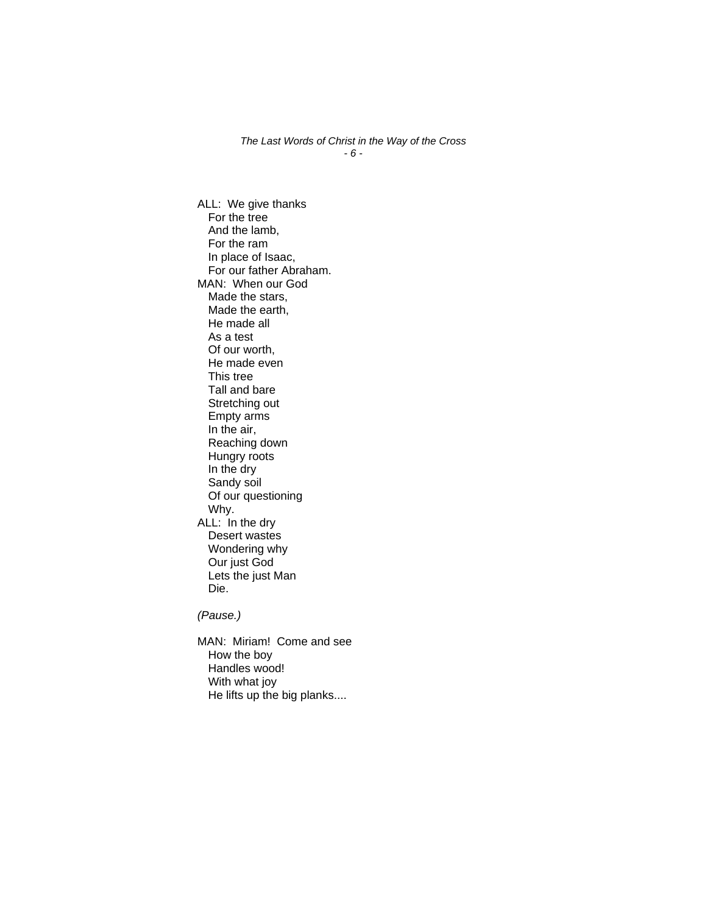*The Last Words of Christ in the Way of the Cross - 6 -* 

ALL: We give thanks For the tree And the lamb, For the ram In place of Isaac, For our father Abraham. MAN: When our God Made the stars, Made the earth, He made all As a test Of our worth, He made even This tree Tall and bare Stretching out Empty arms In the air, Reaching down Hungry roots In the dry Sandy soil Of our questioning Why. ALL: In the dry Desert wastes Wondering why Our just God Lets the just Man Die.

*(Pause.)*

MAN: Miriam! Come and see How the boy Handles wood! With what joy He lifts up the big planks....